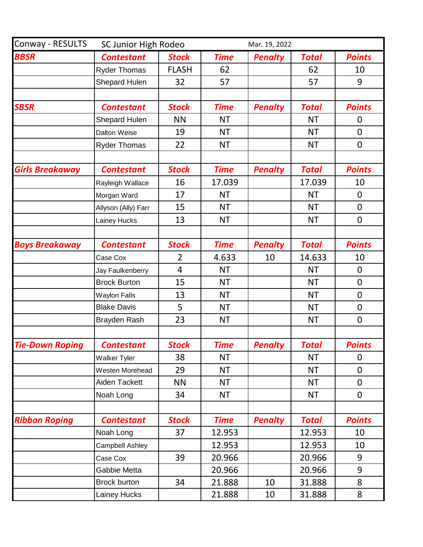| Conway - RESULTS       |                        | SC Junior High Rodeo<br>Mar. 19, 2022 |             |                |              |                  |
|------------------------|------------------------|---------------------------------------|-------------|----------------|--------------|------------------|
| <b>BBSR</b>            | <b>Contestant</b>      | <b>Stock</b>                          | <b>Time</b> | <b>Penalty</b> | <b>Total</b> | <b>Points</b>    |
|                        | <b>Ryder Thomas</b>    | <b>FLASH</b>                          | 62          |                | 62           | 10               |
|                        | <b>Shepard Hulen</b>   | 32                                    | 57          |                | 57           | 9                |
|                        |                        |                                       |             |                |              |                  |
| <b>SBSR</b>            | <b>Contestant</b>      | <b>Stock</b>                          | <b>Time</b> | <b>Penalty</b> | <b>Total</b> | <b>Points</b>    |
|                        | <b>Shepard Hulen</b>   | <b>NN</b>                             | <b>NT</b>   |                | <b>NT</b>    | 0                |
|                        | Dalton Weise           | 19                                    | <b>NT</b>   |                | <b>NT</b>    | $\overline{0}$   |
|                        | <b>Ryder Thomas</b>    | 22                                    | <b>NT</b>   |                | <b>NT</b>    | $\mathbf 0$      |
|                        |                        |                                       |             |                |              |                  |
| <b>Girls Breakaway</b> | <b>Contestant</b>      | <b>Stock</b>                          | <b>Time</b> | <b>Penalty</b> | <b>Total</b> | <b>Points</b>    |
|                        | Rayleigh Wallace       | 16                                    | 17.039      |                | 17.039       | 10               |
|                        | Morgan Ward            | 17                                    | <b>NT</b>   |                | <b>NT</b>    | $\overline{0}$   |
|                        | Allyson (Ally) Farr    | 15                                    | <b>NT</b>   |                | <b>NT</b>    | $\overline{0}$   |
|                        | Lainey Hucks           | 13                                    | <b>NT</b>   |                | <b>NT</b>    | $\mathbf 0$      |
|                        |                        |                                       |             |                |              |                  |
| <b>Boys Breakaway</b>  | <b>Contestant</b>      | <b>Stock</b>                          | <b>Time</b> | <b>Penalty</b> | <b>Total</b> | <b>Points</b>    |
|                        | Case Cox               | $\overline{2}$                        | 4.633       | 10             | 14.633       | 10               |
|                        | Jay Faulkenberry       | 4                                     | <b>NT</b>   |                | <b>NT</b>    | $\mathbf 0$      |
|                        | <b>Brock Burton</b>    | 15                                    | <b>NT</b>   |                | <b>NT</b>    | $\mathbf 0$      |
|                        | <b>Waylon Falls</b>    | 13                                    | <b>NT</b>   |                | <b>NT</b>    | $\mathbf 0$      |
|                        | <b>Blake Davis</b>     | 5                                     | <b>NT</b>   |                | <b>NT</b>    | $\mathbf 0$      |
|                        | Brayden Rash           | 23                                    | <b>NT</b>   |                | <b>NT</b>    | $\boldsymbol{0}$ |
|                        |                        |                                       |             |                |              |                  |
| <b>Tie-Down Roping</b> | <b>Contestant</b>      | Stock                                 | <b>Time</b> | <b>Penalty</b> | <b>Total</b> | <b>Points</b>    |
|                        | <b>Walker Tyler</b>    | 38                                    | <b>NT</b>   |                | <b>NT</b>    | $\overline{0}$   |
|                        | Westen Morehead        | 29                                    | <b>NT</b>   |                | <b>NT</b>    | $\mathbf 0$      |
|                        | Aiden Tackett          | <b>NN</b>                             | <b>NT</b>   |                | <b>NT</b>    | $\mathbf 0$      |
|                        | Noah Long              | 34                                    | <b>NT</b>   |                | <b>NT</b>    | $\mathbf 0$      |
|                        |                        |                                       |             |                |              |                  |
| <b>Ribbon Roping</b>   | <b>Contestant</b>      | <b>Stock</b>                          | <b>Time</b> | <b>Penalty</b> | <b>Total</b> | <b>Points</b>    |
|                        | Noah Long              | 37                                    | 12.953      |                | 12.953       | 10               |
|                        | <b>Campbell Ashley</b> |                                       | 12.953      |                | 12.953       | 10               |
|                        | Case Cox               | 39                                    | 20.966      |                | 20.966       | 9                |
|                        | Gabbie Metta           |                                       | 20.966      |                | 20.966       | 9                |
|                        | Brock burton           | 34                                    | 21.888      | 10             | 31.888       | 8                |
|                        | Lainey Hucks           |                                       | 21.888      | 10             | 31.888       | 8                |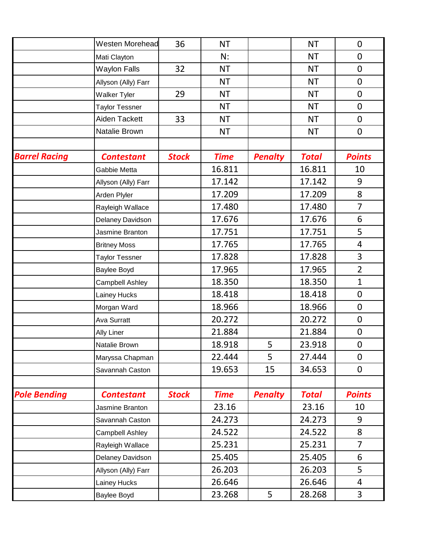|                      | Westen Morehead        | 36           | <b>NT</b>   |                | <b>NT</b>    | $\mathbf 0$    |
|----------------------|------------------------|--------------|-------------|----------------|--------------|----------------|
|                      | Mati Clayton           |              | N:          |                | <b>NT</b>    | $\mathbf 0$    |
|                      | <b>Waylon Falls</b>    | 32           | <b>NT</b>   |                | <b>NT</b>    | $\mathbf 0$    |
|                      | Allyson (Ally) Farr    |              | <b>NT</b>   |                | <b>NT</b>    | $\mathbf 0$    |
|                      | <b>Walker Tyler</b>    | 29           | <b>NT</b>   |                | <b>NT</b>    | $\mathbf 0$    |
|                      | <b>Taylor Tessner</b>  |              | <b>NT</b>   |                | <b>NT</b>    | $\mathbf 0$    |
|                      | Aiden Tackett          | 33           | <b>NT</b>   |                | <b>NT</b>    | $\mathbf 0$    |
|                      | Natalie Brown          |              | <b>NT</b>   |                | <b>NT</b>    | $\mathbf 0$    |
|                      |                        |              |             |                |              |                |
| <b>Barrel Racing</b> | <b>Contestant</b>      | <b>Stock</b> | <b>Time</b> | <b>Penalty</b> | <b>Total</b> | <b>Points</b>  |
|                      | Gabbie Metta           |              | 16.811      |                | 16.811       | 10             |
|                      | Allyson (Ally) Farr    |              | 17.142      |                | 17.142       | 9              |
|                      | Arden Plyler           |              | 17.209      |                | 17.209       | 8              |
|                      | Rayleigh Wallace       |              | 17.480      |                | 17.480       | $\overline{7}$ |
|                      | Delaney Davidson       |              | 17.676      |                | 17.676       | 6              |
|                      | Jasmine Branton        |              | 17.751      |                | 17.751       | 5              |
|                      | <b>Britney Moss</b>    |              | 17.765      |                | 17.765       | $\overline{4}$ |
|                      | <b>Taylor Tessner</b>  |              | 17.828      |                | 17.828       | 3              |
|                      | Baylee Boyd            |              | 17.965      |                | 17.965       | $\overline{2}$ |
|                      | <b>Campbell Ashley</b> |              | 18.350      |                | 18.350       | $\mathbf{1}$   |
|                      | Lainey Hucks           |              | 18.418      |                | 18.418       | $\mathbf 0$    |
|                      | Morgan Ward            |              | 18.966      |                | 18.966       | $\mathbf 0$    |
|                      | <b>Ava Surratt</b>     |              | 20.272      |                | 20.272       | $\mathbf 0$    |
|                      | <b>Ally Liner</b>      |              | 21.884      |                | 21.884       | $\mathbf 0$    |
|                      | Natalie Brown          |              | 18.918      | 5              | 23.918       | $\Omega$       |
|                      | Maryssa Chapman        |              | 22.444      | 5              | 27.444       | $\overline{0}$ |
|                      | Savannah Caston        |              | 19.653      | 15             | 34.653       | $\mathbf 0$    |
|                      |                        |              |             |                |              |                |
| <b>Pole Bending</b>  | <b>Contestant</b>      | <b>Stock</b> | <b>Time</b> | <b>Penalty</b> | <b>Total</b> | <b>Points</b>  |
|                      | Jasmine Branton        |              | 23.16       |                | 23.16        | 10             |
|                      | Savannah Caston        |              | 24.273      |                | 24.273       | 9              |
|                      | Campbell Ashley        |              | 24.522      |                | 24.522       | 8              |
|                      | Rayleigh Wallace       |              | 25.231      |                | 25.231       | $\overline{7}$ |
|                      | Delaney Davidson       |              | 25.405      |                | 25.405       | 6              |
|                      | Allyson (Ally) Farr    |              | 26.203      |                | 26.203       | 5              |
|                      | Lainey Hucks           |              | 26.646      |                | 26.646       | 4              |
|                      | Baylee Boyd            |              | 23.268      | 5              | 28.268       | 3              |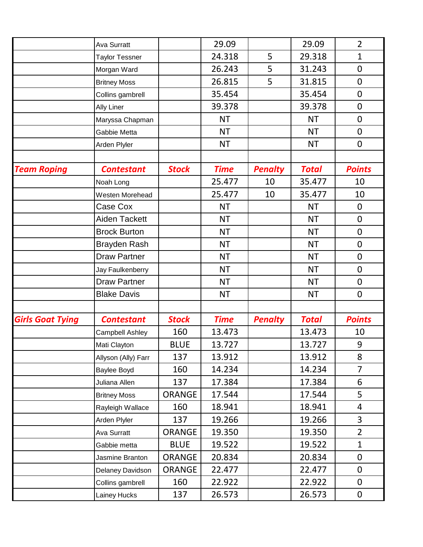|                         | <b>Ava Surratt</b>    |               | 29.09       |                | 29.09        | $\overline{2}$   |
|-------------------------|-----------------------|---------------|-------------|----------------|--------------|------------------|
|                         | <b>Taylor Tessner</b> |               | 24.318      | 5              | 29.318       | $\mathbf{1}$     |
|                         | Morgan Ward           |               | 26.243      | 5              | 31.243       | $\mathbf 0$      |
|                         | <b>Britney Moss</b>   |               | 26.815      | 5              | 31.815       | $\mathbf 0$      |
|                         | Collins gambrell      |               | 35.454      |                | 35.454       | $\mathbf 0$      |
|                         | <b>Ally Liner</b>     |               | 39.378      |                | 39.378       | $\mathbf 0$      |
|                         | Maryssa Chapman       |               | <b>NT</b>   |                | <b>NT</b>    | $\mathbf 0$      |
|                         | Gabbie Metta          |               | <b>NT</b>   |                | <b>NT</b>    | $\mathbf 0$      |
|                         | Arden Plyler          |               | <b>NT</b>   |                | <b>NT</b>    | $\boldsymbol{0}$ |
|                         |                       |               |             |                |              |                  |
| <b>Team Roping</b>      | <b>Contestant</b>     | <b>Stock</b>  | <b>Time</b> | <b>Penalty</b> | <b>Total</b> | <b>Points</b>    |
|                         | Noah Long             |               | 25.477      | 10             | 35.477       | 10               |
|                         | Westen Morehead       |               | 25.477      | 10             | 35.477       | 10               |
|                         | Case Cox              |               | <b>NT</b>   |                | <b>NT</b>    | $\mathbf 0$      |
|                         | <b>Aiden Tackett</b>  |               | <b>NT</b>   |                | <b>NT</b>    | $\mathbf 0$      |
|                         | <b>Brock Burton</b>   |               | <b>NT</b>   |                | <b>NT</b>    | $\mathbf 0$      |
|                         | Brayden Rash          |               | <b>NT</b>   |                | <b>NT</b>    | $\mathbf 0$      |
|                         | <b>Draw Partner</b>   |               | <b>NT</b>   |                | <b>NT</b>    | $\mathbf 0$      |
|                         | Jay Faulkenberry      |               | <b>NT</b>   |                | <b>NT</b>    | $\mathbf 0$      |
|                         | <b>Draw Partner</b>   |               | <b>NT</b>   |                | <b>NT</b>    | $\mathbf 0$      |
|                         | <b>Blake Davis</b>    |               | <b>NT</b>   |                | <b>NT</b>    | $\mathbf 0$      |
|                         |                       |               |             |                |              |                  |
| <b>Girls Goat Tying</b> | <b>Contestant</b>     | <b>Stock</b>  | <b>Time</b> | <b>Penalty</b> | <b>Total</b> | <b>Points</b>    |
|                         | Campbell Ashley       | 160           | 13.473      |                | 13.473       | 10               |
|                         | Mati Clayton          | <b>BLUE</b>   | 13.727      |                | 13.727       | 9                |
|                         | Allyson (Ally) Farr   | 137           | 13.912      |                | 13.912       | 8                |
|                         | Baylee Boyd           | 160           | 14.234      |                | 14.234       | $\overline{7}$   |
|                         | Juliana Allen         | 137           | 17.384      |                | 17.384       | 6                |
|                         | <b>Britney Moss</b>   | <b>ORANGE</b> | 17.544      |                | 17.544       | 5                |
|                         | Rayleigh Wallace      | 160           | 18.941      |                | 18.941       | $\overline{4}$   |
|                         | Arden Plyler          | 137           | 19.266      |                | 19.266       | $\overline{3}$   |
|                         | <b>Ava Surratt</b>    | <b>ORANGE</b> | 19.350      |                | 19.350       | $\overline{2}$   |
|                         | Gabbie metta          | <b>BLUE</b>   | 19.522      |                | 19.522       | $\mathbf{1}$     |
|                         | Jasmine Branton       | <b>ORANGE</b> | 20.834      |                | 20.834       | $\mathbf 0$      |
|                         | Delaney Davidson      | <b>ORANGE</b> | 22.477      |                | 22.477       | $\mathbf 0$      |
|                         | Collins gambrell      | 160           | 22.922      |                | 22.922       | $\boldsymbol{0}$ |
|                         | Lainey Hucks          | 137           | 26.573      |                | 26.573       | 0                |